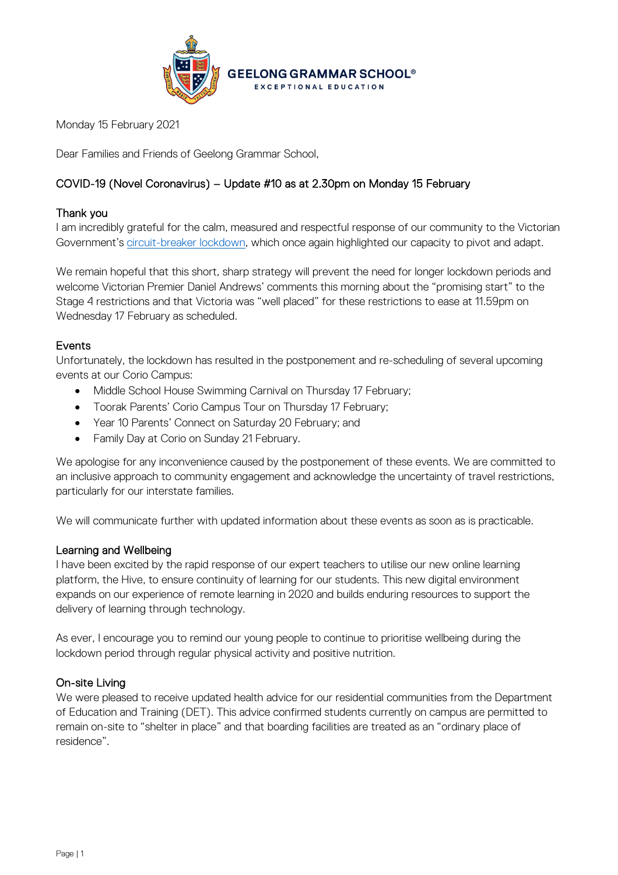

Monday 15 February 2021

Dear Families and Friends of Geelong Grammar School,

# COVID-19 (Novel Coronavirus) – Update #10 as at 2.30pm on Monday 15 February

# Thank you

I am incredibly grateful for the calm, measured and respectful response of our community to the Victorian Government's [circuit-breaker lockdown,](https://www.coronavirus.vic.gov.au/circuit-breaker-actions) which once again highlighted our capacity to pivot and adapt.

We remain hopeful that this short, sharp strategy will prevent the need for longer lockdown periods and welcome Victorian Premier Daniel Andrews' comments this morning about the "promising start" to the Stage 4 restrictions and that Victoria was "well placed" for these restrictions to ease at 11.59pm on Wednesday 17 February as scheduled.

# Events

Unfortunately, the lockdown has resulted in the postponement and re-scheduling of several upcoming events at our Corio Campus:

- Middle School House Swimming Carnival on Thursday 17 February;
- Toorak Parents' Corio Campus Tour on Thursday 17 February;
- Year 10 Parents' Connect on Saturday 20 February; and
- Family Day at Corio on Sunday 21 February.

We apologise for any inconvenience caused by the postponement of these events. We are committed to an inclusive approach to community engagement and acknowledge the uncertainty of travel restrictions, particularly for our interstate families.

We will communicate further with updated information about these events as soon as is practicable.

### Learning and Wellbeing

I have been excited by the rapid response of our expert teachers to utilise our new online learning platform, the Hive, to ensure continuity of learning for our students. This new digital environment expands on our experience of remote learning in 2020 and builds enduring resources to support the delivery of learning through technology.

As ever, I encourage you to remind our young people to continue to prioritise wellbeing during the lockdown period through regular physical activity and positive nutrition.

### On-site Living

We were pleased to receive updated health advice for our residential communities from the Department of Education and Training (DET). This advice confirmed students currently on campus are permitted to remain on-site to "shelter in place" and that boarding facilities are treated as an "ordinary place of residence".